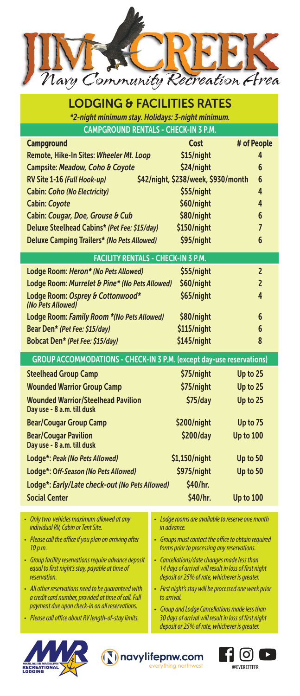

| <b>LODGING &amp; FACILITIES RATES</b><br>*2-night minimum stay. Holidays: 3-night minimum. |                                     |                  |  |  |
|--------------------------------------------------------------------------------------------|-------------------------------------|------------------|--|--|
| <b>CAMPGROUND RENTALS - CHECK-IN 3 P.M.</b>                                                |                                     |                  |  |  |
| <b>Campground</b>                                                                          | Cost                                | # of People      |  |  |
| Remote, Hike-In Sites: Wheeler Mt. Loop                                                    | \$15/night                          | 4                |  |  |
| Campsite: Meadow, Coho & Coyote                                                            | \$24/night                          | 6                |  |  |
| RV Site 1-16 (Full Hook-up)                                                                | \$42/night, \$238/week, \$930/month | 6                |  |  |
| <b>Cabin: Coho (No Electricity)</b>                                                        | \$55/night                          | 4                |  |  |
| <b>Cabin: Coyote</b>                                                                       | \$60/night                          | 4                |  |  |
| Cabin: Cougar, Doe, Grouse & Cub                                                           | \$80/night                          | 6                |  |  |
| Deluxe Steelhead Cabins* (Pet Fee: \$15/day)                                               | \$150/night                         | $\overline{7}$   |  |  |
| <b>Deluxe Camping Trailers* (No Pets Allowed)</b>                                          | \$95/night                          | 6                |  |  |
| <b>FACILITY RENTALS - CHECK-IN 3 P.M.</b>                                                  |                                     |                  |  |  |
| Lodge Room: Heron* (No Pets Allowed)                                                       | \$55/night                          | $\overline{2}$   |  |  |
| Lodge Room: Murrelet & Pine* (No Pets Allowed)                                             | \$60/night                          | $\overline{2}$   |  |  |
| Lodge Room: Osprey & Cottonwood*                                                           | \$65/night                          | 4                |  |  |
| (No Pets Allowed)                                                                          |                                     |                  |  |  |
| Lodge Room: Family Room *(No Pets Allowed)                                                 | \$80/night                          | 6                |  |  |
| Bear Den* (Pet Fee: \$15/day)                                                              | \$115/night                         | 6                |  |  |
| Bobcat Den* (Pet Fee: \$15/day)                                                            | \$145/night                         | 8                |  |  |
| <b>GROUP ACCOMMODATIONS - CHECK-IN 3 P.M. (except day-use reservations)</b>                |                                     |                  |  |  |
| <b>Steelhead Group Camp</b>                                                                | \$75/night                          | Up to 25         |  |  |
| <b>Wounded Warrior Group Camp</b>                                                          | \$75/night                          | Up to 25         |  |  |
| <b>Wounded Warrior/Steelhead Pavilion</b><br>Day use - 8 a.m. till dusk                    | $$75$ /day                          | Up to 25         |  |  |
| <b>Bear/Cougar Group Camp</b>                                                              | \$200/night                         | Up to 75         |  |  |
| <b>Bear/Cougar Pavilion</b><br>Day use - 8 a.m. till dusk                                  | \$200/day                           | <b>Up to 100</b> |  |  |
| Lodge*: Peak (No Pets Allowed)                                                             | \$1,150/night                       | Up to 50         |  |  |
| Lodge*: Off-Season (No Pets Allowed)                                                       | \$975/night                         | Up to 50         |  |  |
| Lodge*: Early/Late check-out (No Pets Allowed)                                             | \$40/hr.                            |                  |  |  |
| <b>Social Center</b>                                                                       | \$40/hr.                            | <b>Up to 100</b> |  |  |
|                                                                                            |                                     |                  |  |  |

- *Only two vehicles maximum allowed at any individual RV, Cabin or Tent Site.*
- *Please call the office if you plan on arriving after 10 p.m.*
- *Group facility reservations require advance deposit equal to first night's stay, payable at time of reservation.*
- *All other reservations need to be guaranteed with a credit card number, provided at time of call. Full payment due upon check-in on all reservations.*
- *Please call office about RV length-of-stay limits.*
- *Lodge rooms are available to reserve one month in advance.*
- *Groups must contact the office to obtain required forms prior to processing any reservations.*
- *Cancellations/date changes made less than 14 days of arrival will result in loss of first night deposit or 25% of rate, whichever is greater.*
- *First night's stay will be processed one week prior to arrival.*
- *Group and Lodge Cancellations made less than 30 days of arrival will result in loss of first night deposit or 25% of rate, whichever is greater.*

navylifepnw.com